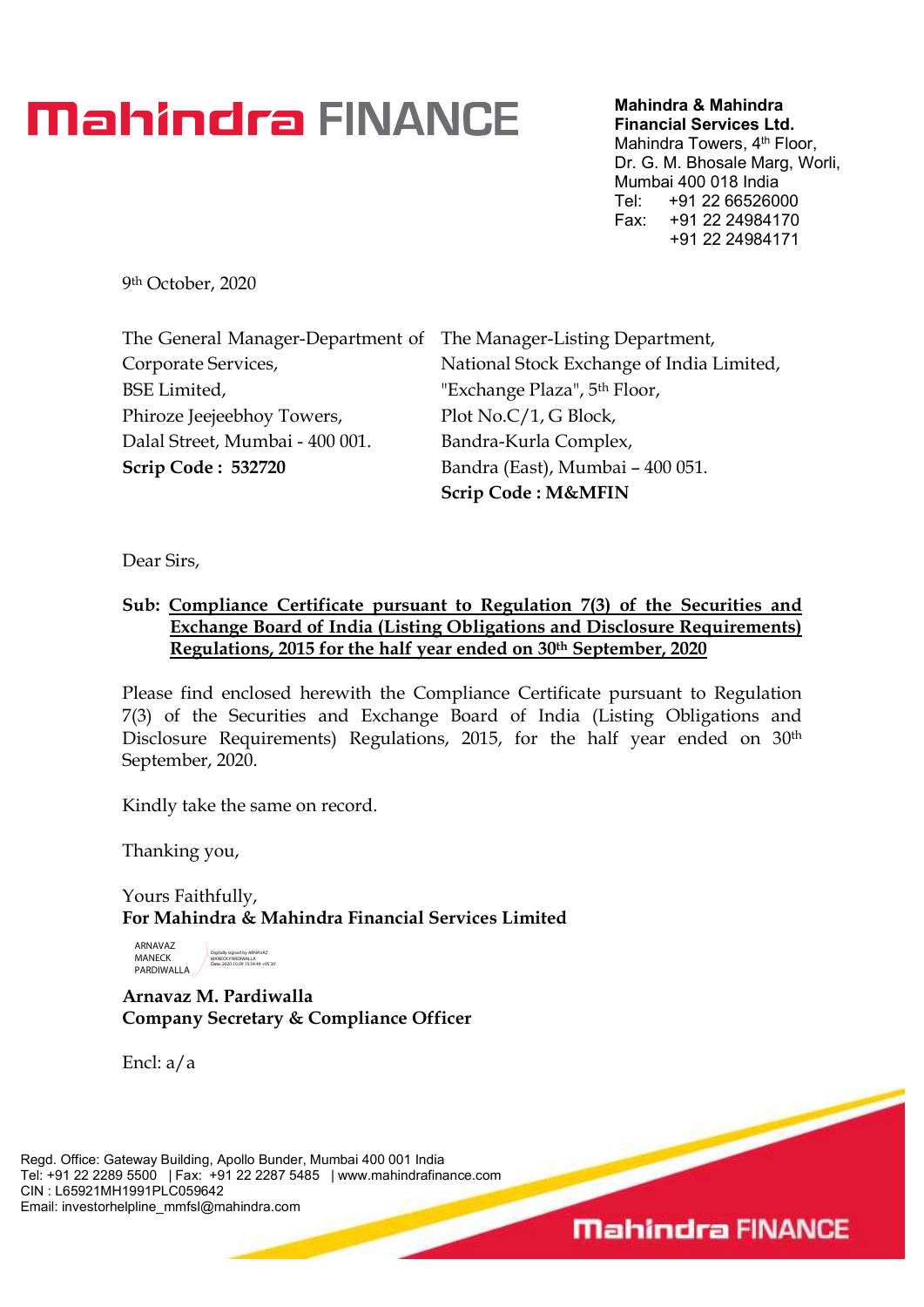## **Mahindra FINANCE**

Mahindra & Mahindra Financial Services Ltd.

Mahindra Towers, 4<sup>th</sup> Floor, Dr. G. M. Bhosale Marg, Worli, Mumbai 400 018 India Tel: +91 22 66526000 Fax: +91 22 24984170 +91 22 24984171

**Mahindra FINANCE** 

9 th October, 2020

| The General Manager-Department of The Manager-Listing Department, |                                           |
|-------------------------------------------------------------------|-------------------------------------------|
| Corporate Services,                                               | National Stock Exchange of India Limited, |
| <b>BSE Limited,</b>                                               | "Exchange Plaza", 5 <sup>th</sup> Floor,  |
| Phiroze Jeejeebhoy Towers,                                        | Plot No.C/1, G Block,                     |
| Dalal Street, Mumbai - 400 001.                                   | Bandra-Kurla Complex,                     |
| <b>Scrip Code: 532720</b>                                         | Bandra (East), Mumbai - 400 051.          |
|                                                                   | <b>Scrip Code: M&amp;MFIN</b>             |

Dear Sirs,

## Sub: Compliance Certificate pursuant to Regulation 7(3) of the Securities and Exchange Board of India (Listing Obligations and Disclosure Requirements) Regulations, 2015 for the half year ended on 30th September, 2020

Please find enclosed herewith the Compliance Certificate pursuant to Regulation 7(3) of the Securities and Exchange Board of India (Listing Obligations and Disclosure Requirements) Regulations, 2015, for the half year ended on 30<sup>th</sup> September, 2020.

Kindly take the same on record.

Thanking you,

Yours Faithfully, For Mahindra & Mahindra Financial Services Limited

ARNAVAZ MANECK PARDIWALLA Digitally signed by ARNAVAZ MANECK PARDIWALLA Date: 2020.10.09 15:54:49 +05'30'

Arnavaz M. Pardiwalla Company Secretary & Compliance Officer

Encl: a/a

Regd. Office: Gateway Building, Apollo Bunder, Mumbai 400 001 India Tel: +91 22 2289 5500 | Fax: +91 22 2287 5485 | www.mahindrafinance.com CIN : L65921MH1991PLC059642 Email: investorhelpline\_mmfsl@mahindra.com